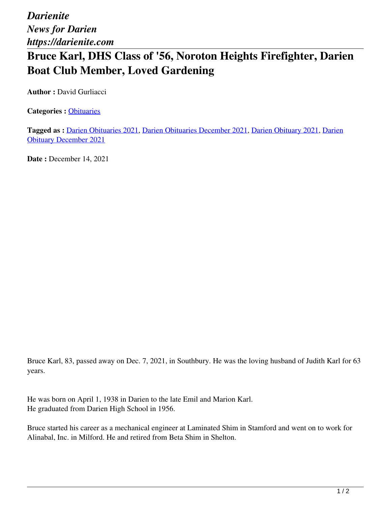*Darienite News for Darien https://darienite.com*

## **Bruce Karl, DHS Class of '56, Noroton Heights Firefighter, Darien Boat Club Member, Loved Gardening**

**Author :** David Gurliacci

**Categories :** [Obituaries](https://darienite.com/category/obituaries)

**Tagged as :** Darien Obituaries 2021, Darien Obituaries December 2021, Darien Obituary 2021, Darien Obituary December 2021

**Date : December 14, 2021** 

Bruce Karl, 83, passed away on Dec. 7, 2021, in Southbury. He was the loving husband of Judith Karl for 63 years.

He was born on April 1, 1938 in Darien to the late Emil and Marion Karl. He graduated from Darien High School in 1956.

Bruce started his career as a mechanical engineer at Laminated Shim in Stamford and went on to work for Alinabal, Inc. in Milford. He and retired from Beta Shim in Shelton.